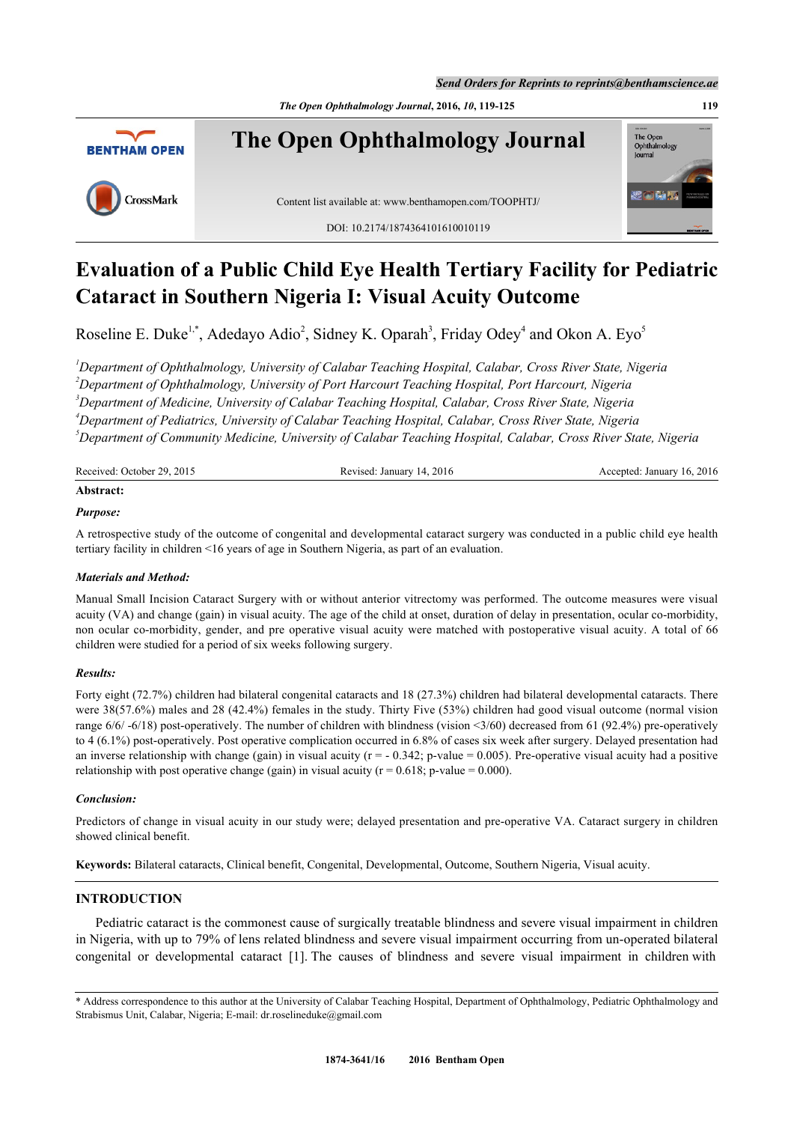*Send Orders for Reprints to reprints@benthamscience.ae*

*The Open Ophthalmology Journal***, 2016,** *10***, 119-125 119**



# **Evaluation of a Public Child Eye Health Tertiary Facility for Pediatric Cataract in Southern Nigeria I: Visual Acuity Outcome**

Roseline E. Duke<sup>[1](#page-0-0),[\\*](#page-0-1)</sup>, Adedayo Adio<sup>[2](#page-0-2)</sup>, Sidney K. Oparah<sup>[3](#page-0-3)</sup>, Friday Odey<sup>[4](#page-0-4)</sup> and Okon A. Eyo<sup>[5](#page-0-5)</sup>

<span id="page-0-4"></span><span id="page-0-3"></span><span id="page-0-2"></span><span id="page-0-0"></span>*Department of Ophthalmology, University of Calabar Teaching Hospital, Calabar, Cross River State, Nigeria Department of Ophthalmology, University of Port Harcourt Teaching Hospital, Port Harcourt, Nigeria Department of Medicine, University of Calabar Teaching Hospital, Calabar, Cross River State, Nigeria Department of Pediatrics, University of Calabar Teaching Hospital, Calabar, Cross River State, Nigeria Department of Community Medicine, University of Calabar Teaching Hospital, Calabar, Cross River State, Nigeria*

<span id="page-0-5"></span>

| Received: October 29, 2015 | Revised: January 14, 2016 | Accepted: January 16, 2016 |
|----------------------------|---------------------------|----------------------------|
| Abstract:                  |                           |                            |

# *Purpose:*

A retrospective study of the outcome of congenital and developmental cataract surgery was conducted in a public child eye health tertiary facility in children <16 years of age in Southern Nigeria, as part of an evaluation.

# *Materials and Method:*

Manual Small Incision Cataract Surgery with or without anterior vitrectomy was performed. The outcome measures were visual acuity (VA) and change (gain) in visual acuity. The age of the child at onset, duration of delay in presentation, ocular co-morbidity, non ocular co-morbidity, gender, and pre operative visual acuity were matched with postoperative visual acuity. A total of 66 children were studied for a period of six weeks following surgery.

# *Results:*

Forty eight (72.7%) children had bilateral congenital cataracts and 18 (27.3%) children had bilateral developmental cataracts. There were 38(57.6%) males and 28 (42.4%) females in the study. Thirty Five (53%) children had good visual outcome (normal vision range  $6/6/$ -6/18) post-operatively. The number of children with blindness (vision <3/60) decreased from 61 (92.4%) pre-operatively to 4 (6.1%) post-operatively. Post operative complication occurred in 6.8% of cases six week after surgery. Delayed presentation had an inverse relationship with change (gain) in visual acuity ( $r = -0.342$ ; p-value = 0.005). Pre-operative visual acuity had a positive relationship with post operative change (gain) in visual acuity ( $r = 0.618$ ; p-value = 0.000).

# *Conclusion:*

Predictors of change in visual acuity in our study were; delayed presentation and pre-operative VA. Cataract surgery in children showed clinical benefit.

**Keywords:** Bilateral cataracts, Clinical benefit, Congenital, Developmental, Outcome, Southern Nigeria, Visual acuity.

# **INTRODUCTION**

Pediatric cataract is the commonest cause of surgically treatable blindness and severe visual impairment in children in Nigeria, with up to 79% of lens related blindness and severe visual impairment occurring from un-operated bilateral congenital or developmental cataract [[1\]](#page-5-0). The causes of blindness and severe visual impairment in children with

<span id="page-0-1"></span><sup>\*</sup> Address correspondence to this author at the University of Calabar Teaching Hospital, Department of Ophthalmology, Pediatric Ophthalmology and Strabismus Unit, Calabar, Nigeria; E-mail: [dr.roselineduke@gmail.com](mailto:dr.roselineduke@gmail.com)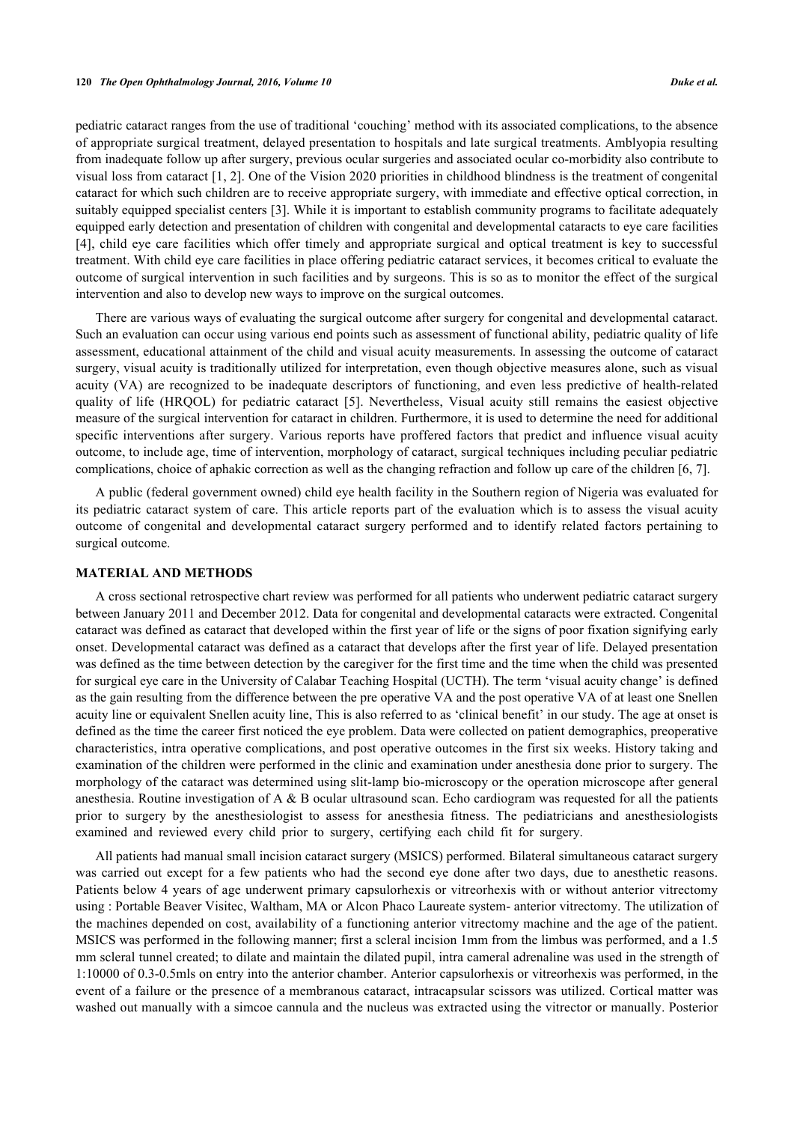pediatric cataract ranges from the use of traditional 'couching' method with its associated complications, to the absence of appropriate surgical treatment, delayed presentation to hospitals and late surgical treatments. Amblyopia resulting from inadequate follow up after surgery, previous ocular surgeries and associated ocular co-morbidity also contribute to visual loss from cataract [\[1](#page-5-0), [2\]](#page-5-1). One of the Vision 2020 priorities in childhood blindness is the treatment of congenital cataract for which such children are to receive appropriate surgery, with immediate and effective optical correction, in suitably equipped specialist centers [\[3\]](#page-6-0). While it is important to establish community programs to facilitate adequately equipped early detection and presentation of children with congenital and developmental cataracts to eye care facilities [\[4](#page-6-1)], child eye care facilities which offer timely and appropriate surgical and optical treatment is key to successful treatment. With child eye care facilities in place offering pediatric cataract services, it becomes critical to evaluate the outcome of surgical intervention in such facilities and by surgeons. This is so as to monitor the effect of the surgical intervention and also to develop new ways to improve on the surgical outcomes.

There are various ways of evaluating the surgical outcome after surgery for congenital and developmental cataract. Such an evaluation can occur using various end points such as assessment of functional ability, pediatric quality of life assessment, educational attainment of the child and visual acuity measurements. In assessing the outcome of cataract surgery, visual acuity is traditionally utilized for interpretation, even though objective measures alone, such as visual acuity (VA) are recognized to be inadequate descriptors of functioning, and even less predictive of health-related quality of life (HRQOL) for pediatric cataract[[5\]](#page-6-2). Nevertheless, Visual acuity still remains the easiest objective measure of the surgical intervention for cataract in children. Furthermore, it is used to determine the need for additional specific interventions after surgery. Various reports have proffered factors that predict and influence visual acuity outcome, to include age, time of intervention, morphology of cataract, surgical techniques including peculiar pediatric complications, choice of aphakic correction as well as the changing refraction and follow up care of the children [[6,](#page-6-3) [7\]](#page-6-4).

A public (federal government owned) child eye health facility in the Southern region of Nigeria was evaluated for its pediatric cataract system of care. This article reports part of the evaluation which is to assess the visual acuity outcome of congenital and developmental cataract surgery performed and to identify related factors pertaining to surgical outcome.

#### **MATERIAL AND METHODS**

A cross sectional retrospective chart review was performed for all patients who underwent pediatric cataract surgery between January 2011 and December 2012. Data for congenital and developmental cataracts were extracted. Congenital cataract was defined as cataract that developed within the first year of life or the signs of poor fixation signifying early onset. Developmental cataract was defined as a cataract that develops after the first year of life. Delayed presentation was defined as the time between detection by the caregiver for the first time and the time when the child was presented for surgical eye care in the University of Calabar Teaching Hospital (UCTH). The term 'visual acuity change' is defined as the gain resulting from the difference between the pre operative VA and the post operative VA of at least one Snellen acuity line or equivalent Snellen acuity line, This is also referred to as 'clinical benefit' in our study. The age at onset is defined as the time the career first noticed the eye problem. Data were collected on patient demographics, preoperative characteristics, intra operative complications, and post operative outcomes in the first six weeks. History taking and examination of the children were performed in the clinic and examination under anesthesia done prior to surgery. The morphology of the cataract was determined using slit-lamp bio-microscopy or the operation microscope after general anesthesia. Routine investigation of A & B ocular ultrasound scan. Echo cardiogram was requested for all the patients prior to surgery by the anesthesiologist to assess for anesthesia fitness. The pediatricians and anesthesiologists examined and reviewed every child prior to surgery, certifying each child fit for surgery.

All patients had manual small incision cataract surgery (MSICS) performed. Bilateral simultaneous cataract surgery was carried out except for a few patients who had the second eye done after two days, due to anesthetic reasons. Patients below 4 years of age underwent primary capsulorhexis or vitreorhexis with or without anterior vitrectomy using : Portable Beaver Visitec, Waltham, MA or Alcon Phaco Laureate system- anterior vitrectomy. The utilization of the machines depended on cost, availability of a functioning anterior vitrectomy machine and the age of the patient. MSICS was performed in the following manner; first a scleral incision 1mm from the limbus was performed, and a 1.5 mm scleral tunnel created; to dilate and maintain the dilated pupil, intra cameral adrenaline was used in the strength of 1:10000 of 0.3-0.5mls on entry into the anterior chamber. Anterior capsulorhexis or vitreorhexis was performed, in the event of a failure or the presence of a membranous cataract, intracapsular scissors was utilized. Cortical matter was washed out manually with a simcoe cannula and the nucleus was extracted using the vitrector or manually. Posterior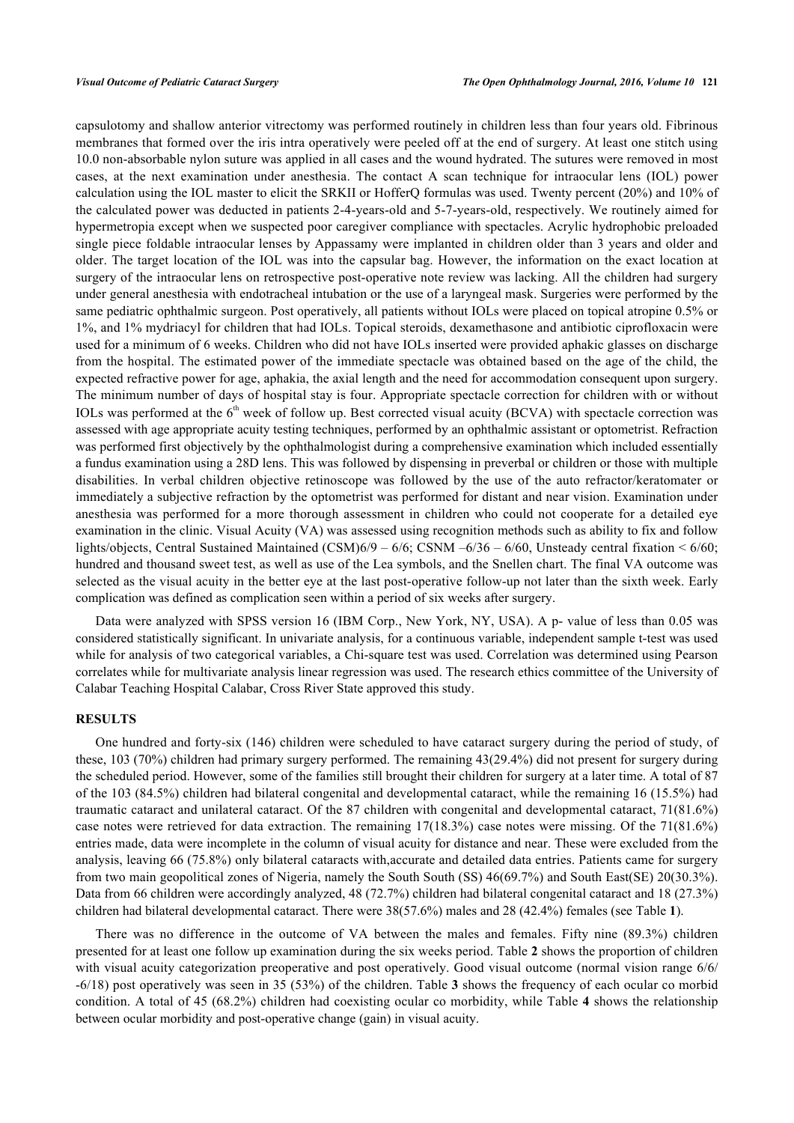capsulotomy and shallow anterior vitrectomy was performed routinely in children less than four years old. Fibrinous membranes that formed over the iris intra operatively were peeled off at the end of surgery. At least one stitch using 10.0 non-absorbable nylon suture was applied in all cases and the wound hydrated. The sutures were removed in most cases, at the next examination under anesthesia. The contact A scan technique for intraocular lens (IOL) power calculation using the IOL master to elicit the SRKII or HofferQ formulas was used. Twenty percent (20%) and 10% of the calculated power was deducted in patients 2-4-years-old and 5-7-years-old, respectively. We routinely aimed for hypermetropia except when we suspected poor caregiver compliance with spectacles. Acrylic hydrophobic preloaded single piece foldable intraocular lenses by Appassamy were implanted in children older than 3 years and older and older. The target location of the IOL was into the capsular bag. However, the information on the exact location at surgery of the intraocular lens on retrospective post-operative note review was lacking. All the children had surgery under general anesthesia with endotracheal intubation or the use of a laryngeal mask. Surgeries were performed by the same pediatric ophthalmic surgeon. Post operatively, all patients without IOLs were placed on topical atropine 0.5% or 1%, and 1% mydriacyl for children that had IOLs. Topical steroids, dexamethasone and antibiotic ciprofloxacin were used for a minimum of 6 weeks. Children who did not have IOLs inserted were provided aphakic glasses on discharge from the hospital. The estimated power of the immediate spectacle was obtained based on the age of the child, the expected refractive power for age, aphakia, the axial length and the need for accommodation consequent upon surgery. The minimum number of days of hospital stay is four. Appropriate spectacle correction for children with or without IOLs was performed at the  $6<sup>th</sup>$  week of follow up. Best corrected visual acuity (BCVA) with spectacle correction was assessed with age appropriate acuity testing techniques, performed by an ophthalmic assistant or optometrist. Refraction was performed first objectively by the ophthalmologist during a comprehensive examination which included essentially a fundus examination using a 28D lens. This was followed by dispensing in preverbal or children or those with multiple disabilities. In verbal children objective retinoscope was followed by the use of the auto refractor/keratomater or immediately a subjective refraction by the optometrist was performed for distant and near vision. Examination under anesthesia was performed for a more thorough assessment in children who could not cooperate for a detailed eye examination in the clinic. Visual Acuity (VA) was assessed using recognition methods such as ability to fix and follow lights/objects, Central Sustained Maintained (CSM)6/9 – 6/6; CSNM –6/36 – 6/60, Unsteady central fixation < 6/60; hundred and thousand sweet test, as well as use of the Lea symbols, and the Snellen chart. The final VA outcome was selected as the visual acuity in the better eye at the last post-operative follow-up not later than the sixth week. Early complication was defined as complication seen within a period of six weeks after surgery.

Data were analyzed with SPSS version 16 (IBM Corp., New York, NY, USA). A p- value of less than 0.05 was considered statistically significant. In univariate analysis, for a continuous variable, independent sample t-test was used while for analysis of two categorical variables, a Chi-square test was used. Correlation was determined using Pearson correlates while for multivariate analysis linear regression was used. The research ethics committee of the University of Calabar Teaching Hospital Calabar, Cross River State approved this study.

# **RESULTS**

One hundred and forty-six (146) children were scheduled to have cataract surgery during the period of study, of these, 103 (70%) children had primary surgery performed. The remaining 43(29.4%) did not present for surgery during the scheduled period. However, some of the families still brought their children for surgery at a later time. A total of 87 of the 103 (84.5%) children had bilateral congenital and developmental cataract, while the remaining 16 (15.5%) had traumatic cataract and unilateral cataract. Of the 87 children with congenital and developmental cataract, 71(81.6%) case notes were retrieved for data extraction. The remaining 17(18.3%) case notes were missing. Of the 71(81.6%) entries made, data were incomplete in the column of visual acuity for distance and near. These were excluded from the analysis, leaving 66 (75.8%) only bilateral cataracts with,accurate and detailed data entries. Patients came for surgery from two main geopolitical zones of Nigeria, namely the South South (SS) 46(69.7%) and South East(SE) 20(30.3%). Data from 66 children were accordingly analyzed, 48 (72.7%) children had bilateral congenital cataract and 18 (27.3%) children had bilateral developmental cataract. There were 38(57.6%) males and 28 (42.4%) females (see Table **[1](#page-3-0)**).

There was no difference in the outcome of VA between the males and females. Fifty nine (89.3%) children presented for at least one follow up examination during the six weeks period. Table **[2](#page-3-1)** shows the proportion of children with visual acuity categorization preoperative and post operatively. Good visual outcome (normal vision range  $6/6$ ) -6/18) post operatively was seen in 35 (53%) of the children. Table **[3](#page-3-2)** shows the frequency of each ocular co morbid condition. A total of 45 (68.2%) children had coexisting ocular co morbidity, while Table **[4](#page-3-3)** shows the relationship between ocular morbidity and post-operative change (gain) in visual acuity.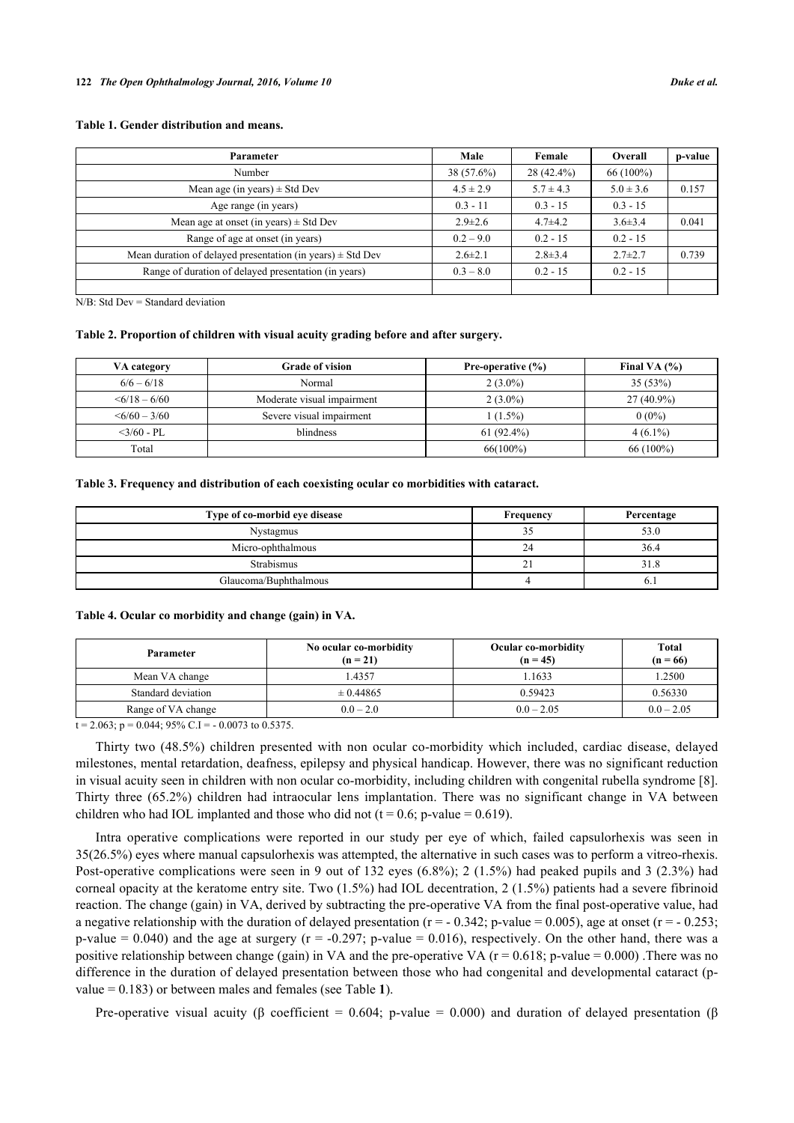# <span id="page-3-0"></span>**Table 1. Gender distribution and means.**

| Parameter                                                      | Male          | Female        | Overall       | p-value |
|----------------------------------------------------------------|---------------|---------------|---------------|---------|
| Number                                                         | $38(57.6\%)$  | 28 (42.4%)    | $66(100\%)$   |         |
| Mean age (in years) $\pm$ Std Dev                              | $4.5 \pm 2.9$ | $5.7 \pm 4.3$ | $5.0 \pm 3.6$ | 0.157   |
| Age range (in years)                                           | $0.3 - 11$    | $0.3 - 15$    | $0.3 - 15$    |         |
| Mean age at onset (in years) $\pm$ Std Dev                     | $2.9 \pm 2.6$ | $4.7 + 4.2$   | $3.6 \pm 3.4$ | 0.041   |
| Range of age at onset (in years)                               | $0.2 - 9.0$   | $0.2 - 15$    | $0.2 - 15$    |         |
| Mean duration of delayed presentation (in years) $\pm$ Std Dev | $2.6 \pm 2.1$ | $2.8 \pm 3.4$ | $2.7 \pm 2.7$ | 0.739   |
| Range of duration of delayed presentation (in years)           | $0.3 - 8.0$   | $0.2 - 15$    | $0.2 - 15$    |         |
|                                                                |               |               |               |         |

N/B: Std Dev = Standard deviation

#### <span id="page-3-1"></span>**Table 2. Proportion of children with visual acuity grading before and after surgery.**

| VA category        | <b>Grade of vision</b>     | Pre-operative (%) | Final VA $(%)$ |
|--------------------|----------------------------|-------------------|----------------|
| $6/6 - 6/18$       | Normal                     | $2(3.0\%)$        | 35(53%)        |
| $\leq 6/18 - 6/60$ | Moderate visual impairment | $2(3.0\%)$        | $27(40.9\%)$   |
| $\leq 6/60 - 3/60$ | Severe visual impairment   | $1(1.5\%)$        | $0(0\%)$       |
| $<$ 3/60 - PL      | blindness                  | $61(92.4\%)$      | $4(6.1\%)$     |
| Total              |                            | $66(100\%)$       | $66(100\%)$    |

#### <span id="page-3-2"></span>**Table 3. Frequency and distribution of each coexisting ocular co morbidities with cataract.**

| Type of co-morbid eye disease | Frequency | Percentage |
|-------------------------------|-----------|------------|
| <b>Nystagmus</b>              | –<br>,    | 53.0       |
| Micro-ophthalmous             | 24        | 36.4       |
| Strabismus                    | ∼         |            |
| Glaucoma/Buphthalmous         |           | v. I       |

#### <span id="page-3-3"></span>**Table 4. Ocular co morbidity and change (gain) in VA.**

| Parameter          | No ocular co-morbidity<br>$(n = 21)$ | <b>Ocular co-morbidity</b><br>$(n = 45)$ | Total<br>$(n = 66)$ |
|--------------------|--------------------------------------|------------------------------------------|---------------------|
| Mean VA change     | 1.4357                               | 1633                                     | 1.2500              |
| Standard deviation | $\pm 0.44865$                        | 0.59423                                  | 0.56330             |
| Range of VA change | $0.0 - 2.0$                          | $0.0 - 2.05$                             | $0.0 - 2.05$        |

 $t = 2.063$ ;  $p = 0.044$ ; 95% C.I = - 0.0073 to 0.5375.

Thirty two (48.5%) children presented with non ocular co-morbidity which included, cardiac disease, delayed milestones, mental retardation, deafness, epilepsy and physical handicap. However, there was no significant reduction in visual acuity seen in children with non ocular co-morbidity, including children with congenital rubella syndrome [[8\]](#page-6-5). Thirty three (65.2%) children had intraocular lens implantation. There was no significant change in VA between children who had IOL implanted and those who did not ( $t = 0.6$ ; p-value = 0.619).

Intra operative complications were reported in our study per eye of which, failed capsulorhexis was seen in 35(26.5%) eyes where manual capsulorhexis was attempted, the alternative in such cases was to perform a vitreo-rhexis. Post-operative complications were seen in 9 out of 132 eyes (6.8%); 2 (1.5%) had peaked pupils and 3 (2.3%) had corneal opacity at the keratome entry site. Two (1.5%) had IOL decentration, 2 (1.5%) patients had a severe fibrinoid reaction. The change (gain) in VA, derived by subtracting the pre-operative VA from the final post-operative value, had a negative relationship with the duration of delayed presentation ( $r = -0.342$ ; p-value = 0.005), age at onset ( $r = -0.253$ ; p-value  $= 0.040$ ) and the age at surgery ( $r = -0.297$ ; p-value  $= 0.016$ ), respectively. On the other hand, there was a positive relationship between change (gain) in VA and the pre-operative VA ( $r = 0.618$ ; p-value  $= 0.000$ ). There was no difference in the duration of delayed presentation between those who had congenital and developmental cataract (pvalue = 0.183) or between males and females (see Table **[1](#page-3-0)**).

Pre-operative visual acuity (β coefficient = 0.604; p-value = 0.000) and duration of delayed presentation (β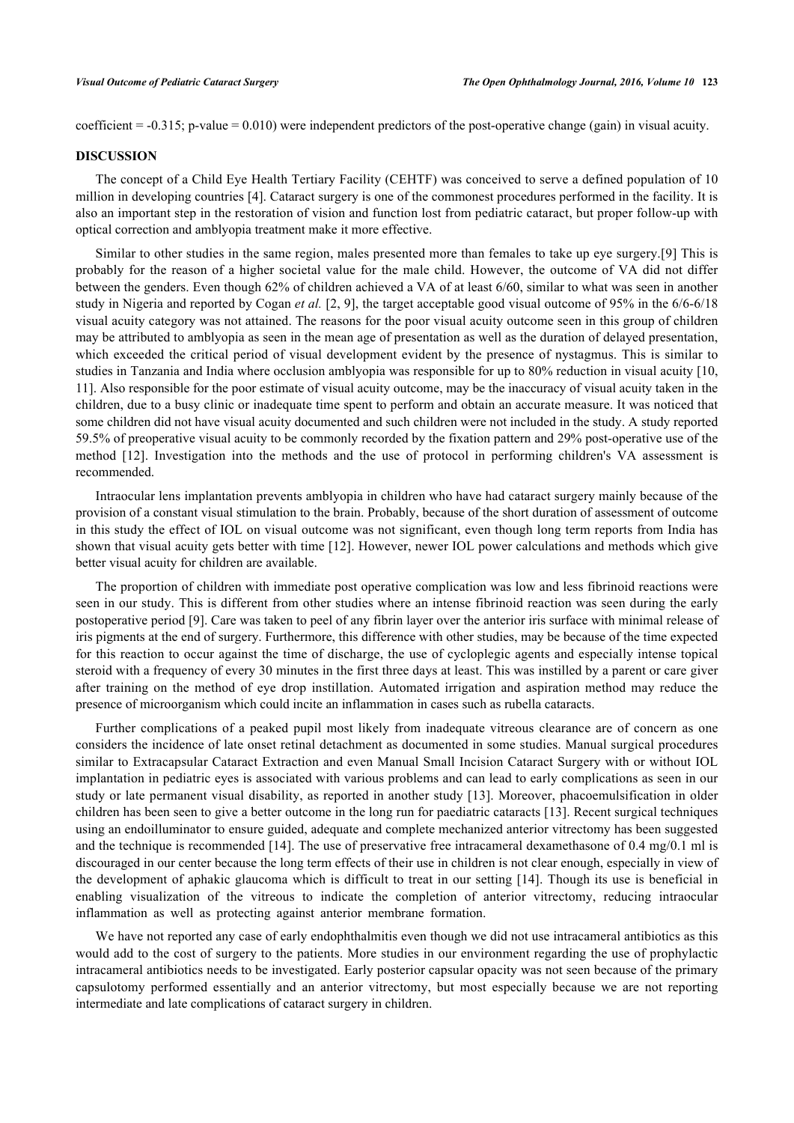coefficient = -0.315; p-value = 0.010) were independent predictors of the post-operative change (gain) in visual acuity.

# **DISCUSSION**

The concept of a Child Eye Health Tertiary Facility (CEHTF) was conceived to serve a defined population of 10 million in developing countries [[4](#page-6-1)]. Cataract surgery is one of the commonest procedures performed in the facility. It is also an important step in the restoration of vision and function lost from pediatric cataract, but proper follow-up with optical correction and amblyopia treatment make it more effective.

Similar to other studies in the same region, males presented more than females to take up eye surgery.[[9](#page-6-6)] This is probably for the reason of a higher societal value for the male child. However, the outcome of VA did not differ between the genders. Even though 62% of children achieved a VA of at least 6/60, similar to what was seen in another study in Nigeria and reported by Cogan *et al.* [[2,](#page-5-1) [9](#page-6-6)], the target acceptable good visual outcome of 95% in the 6/6-6/18 visual acuity category was not attained. The reasons for the poor visual acuity outcome seen in this group of children may be attributed to amblyopia as seen in the mean age of presentation as well as the duration of delayed presentation, which exceeded the critical period of visual development evident by the presence of nystagmus. This is similar to studies in Tanzania and India where occlusion amblyopia was responsible for up to 80% reduction in visual acuity [[10](#page-6-7), [11\]](#page-6-8). Also responsible for the poor estimate of visual acuity outcome, may be the inaccuracy of visual acuity taken in the children, due to a busy clinic or inadequate time spent to perform and obtain an accurate measure. It was noticed that some children did not have visual acuity documented and such children were not included in the study. A study reported 59.5% of preoperative visual acuity to be commonly recorded by the fixation pattern and 29% post-operative use of the method [\[12](#page-6-9)]. Investigation into the methods and the use of protocol in performing children's VA assessment is recommended.

Intraocular lens implantation prevents amblyopia in children who have had cataract surgery mainly because of the provision of a constant visual stimulation to the brain. Probably, because of the short duration of assessment of outcome in this study the effect of IOL on visual outcome was not significant, even though long term reports from India has shown that visual acuity gets better with time [[12\]](#page-6-9). However, newer IOL power calculations and methods which give better visual acuity for children are available.

The proportion of children with immediate post operative complication was low and less fibrinoid reactions were seen in our study. This is different from other studies where an intense fibrinoid reaction was seen during the early postoperative period [[9\]](#page-6-6). Care was taken to peel of any fibrin layer over the anterior iris surface with minimal release of iris pigments at the end of surgery. Furthermore, this difference with other studies, may be because of the time expected for this reaction to occur against the time of discharge, the use of cycloplegic agents and especially intense topical steroid with a frequency of every 30 minutes in the first three days at least. This was instilled by a parent or care giver after training on the method of eye drop instillation. Automated irrigation and aspiration method may reduce the presence of microorganism which could incite an inflammation in cases such as rubella cataracts.

Further complications of a peaked pupil most likely from inadequate vitreous clearance are of concern as one considers the incidence of late onset retinal detachment as documented in some studies. Manual surgical procedures similar to Extracapsular Cataract Extraction and even Manual Small Incision Cataract Surgery with or without IOL implantation in pediatric eyes is associated with various problems and can lead to early complications as seen in our study or late permanent visual disability, as reported in another study [\[13](#page-6-10)]. Moreover, phacoemulsification in older children has been seen to give a better outcome in the long run for paediatric cataracts [[13\]](#page-6-10). Recent surgical techniques using an endoilluminator to ensure guided, adequate and complete mechanized anterior vitrectomy has been suggested and the technique is recommended [[14](#page-6-11)]. The use of preservative free intracameral dexamethasone of 0.4 mg/0.1 ml is discouraged in our center because the long term effects of their use in children is not clear enough, especially in view of the development of aphakic glaucoma which is difficult to treat in our setting [[14](#page-6-11)]. Though its use is beneficial in enabling visualization of the vitreous to indicate the completion of anterior vitrectomy, reducing intraocular inflammation as well as protecting against anterior membrane formation.

We have not reported any case of early endophthalmitis even though we did not use intracameral antibiotics as this would add to the cost of surgery to the patients. More studies in our environment regarding the use of prophylactic intracameral antibiotics needs to be investigated. Early posterior capsular opacity was not seen because of the primary capsulotomy performed essentially and an anterior vitrectomy, but most especially because we are not reporting intermediate and late complications of cataract surgery in children.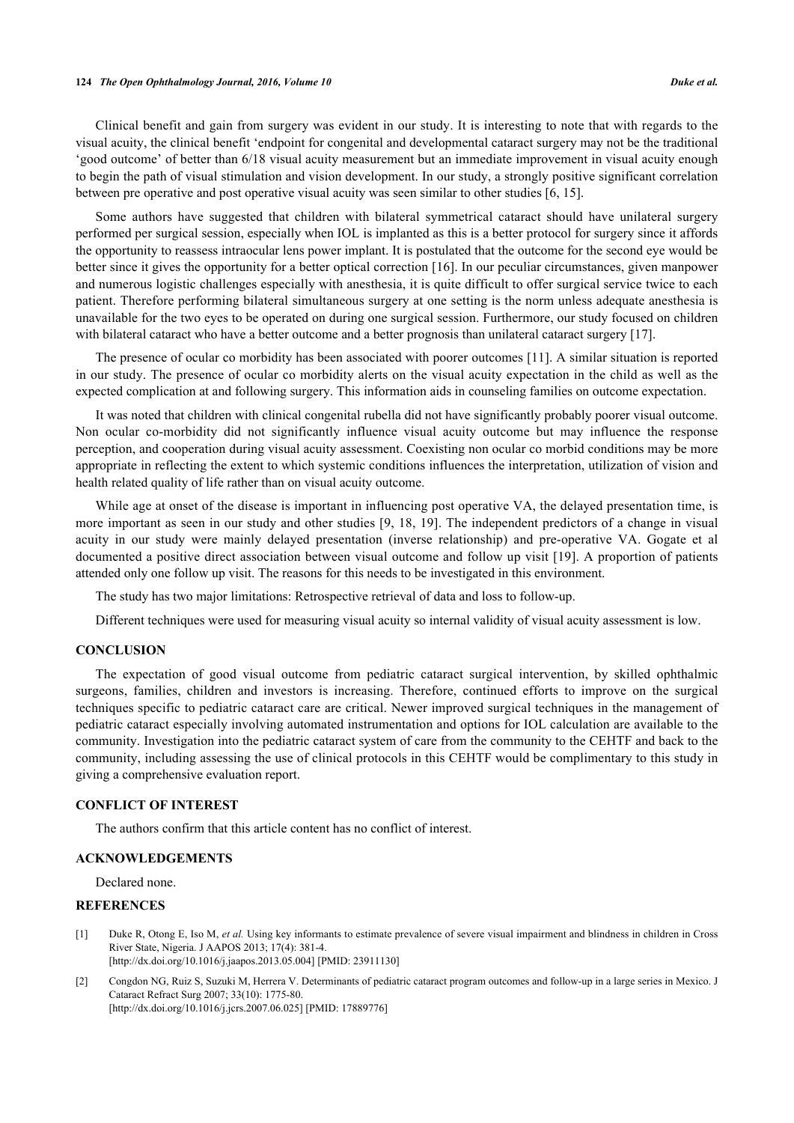### **124** *The Open Ophthalmology Journal, 2016, Volume 10 Duke et al.*

Clinical benefit and gain from surgery was evident in our study. It is interesting to note that with regards to the visual acuity, the clinical benefit 'endpoint for congenital and developmental cataract surgery may not be the traditional 'good outcome' of better than 6/18 visual acuity measurement but an immediate improvement in visual acuity enough to begin the path of visual stimulation and vision development. In our study, a strongly positive significant correlation between pre operative and post operative visual acuity was seen similar to other studies [\[6](#page-6-3), [15](#page-6-12)].

Some authors have suggested that children with bilateral symmetrical cataract should have unilateral surgery performed per surgical session, especially when IOL is implanted as this is a better protocol for surgery since it affords the opportunity to reassess intraocular lens power implant. It is postulated that the outcome for the second eye would be better since it gives the opportunity for a better optical correction [\[16\]](#page-6-13). In our peculiar circumstances, given manpower and numerous logistic challenges especially with anesthesia, it is quite difficult to offer surgical service twice to each patient. Therefore performing bilateral simultaneous surgery at one setting is the norm unless adequate anesthesia is unavailable for the two eyes to be operated on during one surgical session. Furthermore, our study focused on children with bilateral cataract who have a better outcome and a better prognosis than unilateral cataract surgery [\[17](#page-6-14)].

The presence of ocular co morbidity has been associated with poorer outcomes [[11\]](#page-6-8). A similar situation is reported in our study. The presence of ocular co morbidity alerts on the visual acuity expectation in the child as well as the expected complication at and following surgery. This information aids in counseling families on outcome expectation.

It was noted that children with clinical congenital rubella did not have significantly probably poorer visual outcome. Non ocular co-morbidity did not significantly influence visual acuity outcome but may influence the response perception, and cooperation during visual acuity assessment. Coexisting non ocular co morbid conditions may be more appropriate in reflecting the extent to which systemic conditions influences the interpretation, utilization of vision and health related quality of life rather than on visual acuity outcome.

While age at onset of the disease is important in influencing post operative VA, the delayed presentation time, is more important as seen in our study and other studies [\[9](#page-6-6), [18](#page-6-15), [19](#page-6-16)]. The independent predictors of a change in visual acuity in our study were mainly delayed presentation (inverse relationship) and pre-operative VA. Gogate et al documented a positive direct association between visual outcome and follow up visit [\[19\]](#page-6-16). A proportion of patients attended only one follow up visit. The reasons for this needs to be investigated in this environment.

The study has two major limitations: Retrospective retrieval of data and loss to follow-up.

Different techniques were used for measuring visual acuity so internal validity of visual acuity assessment is low.

### **CONCLUSION**

The expectation of good visual outcome from pediatric cataract surgical intervention, by skilled ophthalmic surgeons, families, children and investors is increasing. Therefore, continued efforts to improve on the surgical techniques specific to pediatric cataract care are critical. Newer improved surgical techniques in the management of pediatric cataract especially involving automated instrumentation and options for IOL calculation are available to the community. Investigation into the pediatric cataract system of care from the community to the CEHTF and back to the community, including assessing the use of clinical protocols in this CEHTF would be complimentary to this study in giving a comprehensive evaluation report.

# **CONFLICT OF INTEREST**

The authors confirm that this article content has no conflict of interest.

# **ACKNOWLEDGEMENTS**

Declared none.

# **REFERENCES**

- <span id="page-5-0"></span>[1] Duke R, Otong E, Iso M, *et al.* Using key informants to estimate prevalence of severe visual impairment and blindness in children in Cross River State, Nigeria. J AAPOS 2013; 17(4): 381-4. [\[http://dx.doi.org/10.1016/j.jaapos.2013.05.004](http://dx.doi.org/10.1016/j.jaapos.2013.05.004)] [PMID: [23911130](http://www.ncbi.nlm.nih.gov/pubmed/23911130)]
- <span id="page-5-1"></span>[2] Congdon NG, Ruiz S, Suzuki M, Herrera V. Determinants of pediatric cataract program outcomes and follow-up in a large series in Mexico. J Cataract Refract Surg 2007; 33(10): 1775-80. [\[http://dx.doi.org/10.1016/j.jcrs.2007.06.025\]](http://dx.doi.org/10.1016/j.jcrs.2007.06.025) [PMID: [17889776](http://www.ncbi.nlm.nih.gov/pubmed/17889776)]